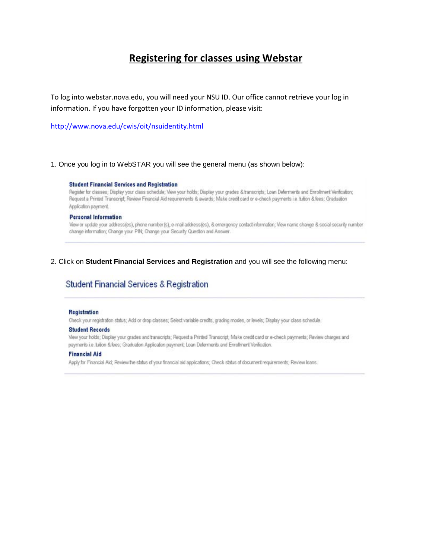# **Registering for classes using Webstar**

To log into webstar.nova.edu, you will need your NSU ID. Our office cannot retrieve your log in information. If you have forgotten your ID information, please visit:

<http://www.nova.edu/cwis/oit/nsuidentity.html>

1. Once you log in to WebSTAR you will see the general menu (as shown below):

#### **Student Financial Services and Registration**

Register for classes; Display your class schedule; View your holds; Display your grades & transcripts; Loan Deferments and Enrollment Ventication; Request a Printed Transcript, Review Financial Aid requirements & awards; Make credit card or e-check payments i.e. fution & fees; Graduation Application payment.

### **Personal Information**

View or update your address(es), phone number(s), e-mail address(es), & emergency contact information; View name change & social security number change information; Change your PIN; Change your Security Question and Answer.

## 2. Click on **Student Financial Services and Registration** and you will see the following menu:

# Student Financial Services & Registration

### Registration

Check your registration status; Add or drop classes; Select variable credits, grading modes, or levels; Display your class schedule.

### **Student Records**

View your holds; Display your grades and transcripts; Request a Printed Transcript; Make credit card or e-check payments; Review charges and payments i.e. tution & fees; Graduation Application payment; Loan Deferments and Enrollment Verification.

### **Financial Aid**

Apply for Financial Aid; Review the status of your financial aid applications; Check status of document requirements; Review Ioans.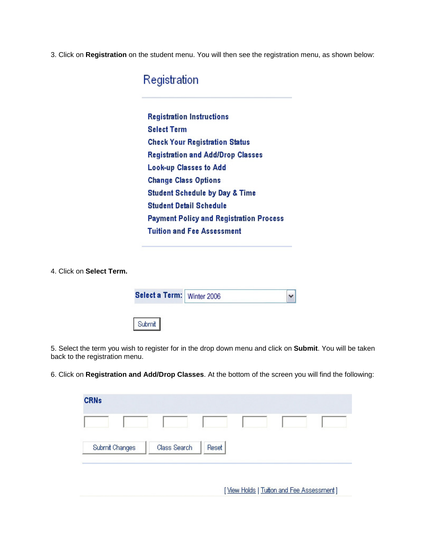3. Click on **Registration** on the student menu. You will then see the registration menu, as shown below:

Registration

**Registration Instructions Select Term Check Your Registration Status Registration and Add/Drop Classes Look-up Classes to Add Change Class Options Student Schedule by Day & Time Student Detail Schedule Payment Policy and Registration Process Tuition and Fee Assessment** 

4. Click on **Select Term.**

| Select a Term: Winter 2006 |  |
|----------------------------|--|
| Submit                     |  |

5. Select the term you wish to register for in the drop down menu and click on **Submit**. You will be taken back to the registration menu.

6. Click on **Registration and Add/Drop Classes**. At the bottom of the screen you will find the following:

| <b>CRNs</b>    |              |       |  |  |
|----------------|--------------|-------|--|--|
|                |              |       |  |  |
| Submit Changes | Class Search | Reset |  |  |

[View Holds | Tuition and Fee Assessment]